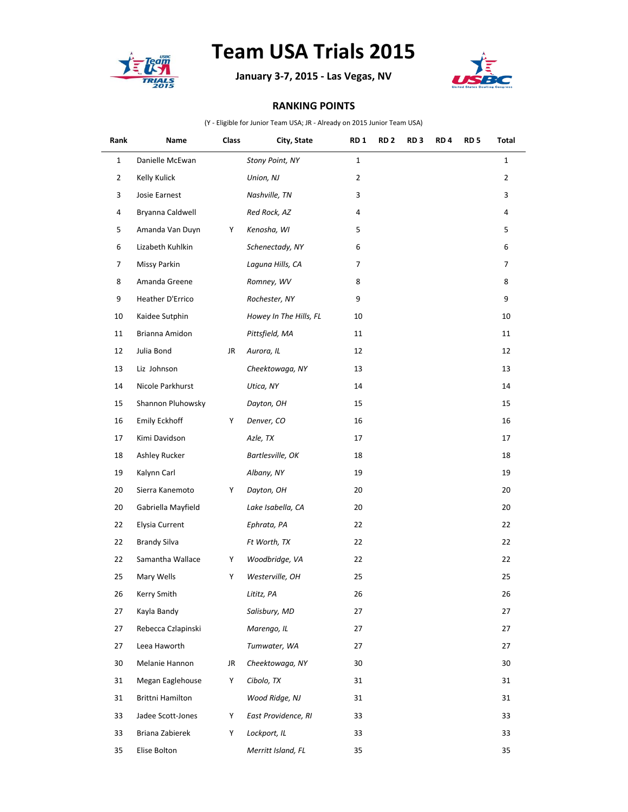

## **Team USA Trials 2015**

**January 3-7, 2015 - Las Vegas, NV**



## **RANKING POINTS**

(Y - Eligible for Junior Team USA; JR - Already on 2015 Junior Team USA)

| Rank           | Name                    | <b>Class</b> | City, State            | <b>RD1</b>     | RD <sub>2</sub> | RD <sub>3</sub> | RD <sub>4</sub> | RD <sub>5</sub> | Total          |
|----------------|-------------------------|--------------|------------------------|----------------|-----------------|-----------------|-----------------|-----------------|----------------|
| $\mathbf{1}$   | Danielle McEwan         |              | Stony Point, NY        | $\mathbf{1}$   |                 |                 |                 |                 | $\mathbf{1}$   |
| $\overline{2}$ | Kelly Kulick            |              | Union, NJ              | $\overline{2}$ |                 |                 |                 |                 | $\overline{2}$ |
| 3              | Josie Earnest           |              | Nashville, TN          | 3              |                 |                 |                 |                 | 3              |
| 4              | Bryanna Caldwell        |              | Red Rock, AZ           | 4              |                 |                 |                 |                 | 4              |
| 5              | Amanda Van Duyn         | Y            | Kenosha, WI            | 5              |                 |                 |                 |                 | 5              |
| 6              | Lizabeth Kuhlkin        |              | Schenectady, NY        | 6              |                 |                 |                 |                 | 6              |
| $\overline{7}$ | Missy Parkin            |              | Laguna Hills, CA       | 7              |                 |                 |                 |                 | $\overline{7}$ |
| 8              | Amanda Greene           |              | Romney, WV             | 8              |                 |                 |                 |                 | 8              |
| 9              | Heather D'Errico        |              | Rochester, NY          | 9              |                 |                 |                 |                 | 9              |
| 10             | Kaidee Sutphin          |              | Howey In The Hills, FL | 10             |                 |                 |                 |                 | 10             |
| 11             | Brianna Amidon          |              | Pittsfield, MA         | 11             |                 |                 |                 |                 | 11             |
| 12             | Julia Bond              | JR           | Aurora, IL             | 12             |                 |                 |                 |                 | 12             |
| 13             | Liz Johnson             |              | Cheektowaga, NY        | 13             |                 |                 |                 |                 | 13             |
| 14             | Nicole Parkhurst        |              | Utica, NY              | 14             |                 |                 |                 |                 | 14             |
| 15             | Shannon Pluhowsky       |              | Dayton, OH             | 15             |                 |                 |                 |                 | 15             |
| 16             | <b>Emily Eckhoff</b>    | Y            | Denver, CO             | 16             |                 |                 |                 |                 | 16             |
| 17             | Kimi Davidson           |              | Azle, TX               | 17             |                 |                 |                 |                 | 17             |
| 18             | Ashley Rucker           |              | Bartlesville, OK       | 18             |                 |                 |                 |                 | 18             |
| 19             | Kalynn Carl             |              | Albany, NY             | 19             |                 |                 |                 |                 | 19             |
| 20             | Sierra Kanemoto         | Y            | Dayton, OH             | 20             |                 |                 |                 |                 | 20             |
| 20             | Gabriella Mayfield      |              | Lake Isabella, CA      | 20             |                 |                 |                 |                 | 20             |
| 22             | Elysia Current          |              | Ephrata, PA            | 22             |                 |                 |                 |                 | 22             |
| 22             | <b>Brandy Silva</b>     |              | Ft Worth, TX           | 22             |                 |                 |                 |                 | 22             |
| 22             | Samantha Wallace        | Y            | Woodbridge, VA         | 22             |                 |                 |                 |                 | 22             |
| 25             | Mary Wells              | Y            | Westerville, OH        | 25             |                 |                 |                 |                 | 25             |
| 26             | Kerry Smith             |              | Lititz, PA             | 26             |                 |                 |                 |                 | 26             |
| 27             | Kayla Bandy             |              | Salisbury, MD          | 27             |                 |                 |                 |                 | 27             |
| 27             | Rebecca Czlapinski      |              | Marengo, IL            | 27             |                 |                 |                 |                 | 27             |
| 27             | Leea Haworth            |              | Tumwater, WA           | 27             |                 |                 |                 |                 | 27             |
| 30             | Melanie Hannon          | JR           | Cheektowaga, NY        | 30             |                 |                 |                 |                 | 30             |
| 31             | Megan Eaglehouse        | Y            | Cibolo, TX             | 31             |                 |                 |                 |                 | 31             |
| 31             | <b>Brittni Hamilton</b> |              | Wood Ridge, NJ         | 31             |                 |                 |                 |                 | 31             |
| 33             | Jadee Scott-Jones       | Y            | East Providence, RI    | 33             |                 |                 |                 |                 | 33             |
| 33             | Briana Zabierek         | Y            | Lockport, IL           | 33             |                 |                 |                 |                 | 33             |
| 35             | Elise Bolton            |              | Merritt Island, FL     | 35             |                 |                 |                 |                 | 35             |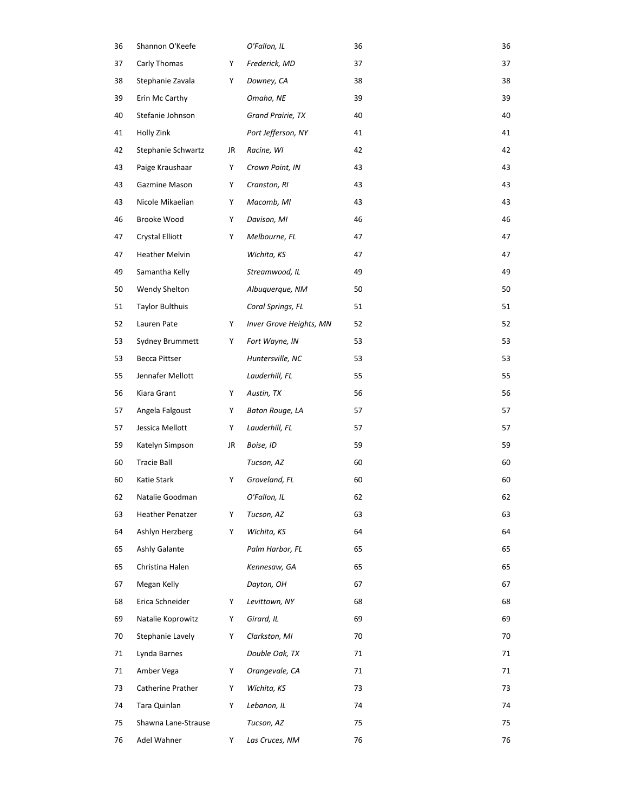| 36 | Shannon O'Keefe         |    | O'Fallon, IL            | 36 | 36 |
|----|-------------------------|----|-------------------------|----|----|
| 37 | Carly Thomas            | Y  | Frederick, MD           | 37 | 37 |
| 38 | Stephanie Zavala        | Y  | Downey, CA              | 38 | 38 |
| 39 | Erin Mc Carthy          |    | Omaha, NE               | 39 | 39 |
| 40 | Stefanie Johnson        |    | Grand Prairie, TX       | 40 | 40 |
| 41 | Holly Zink              |    | Port Jefferson, NY      | 41 | 41 |
| 42 | Stephanie Schwartz      | JR | Racine, WI              | 42 | 42 |
| 43 | Paige Kraushaar         | Y  | Crown Point, IN         | 43 | 43 |
| 43 | Gazmine Mason           | Y  | Cranston, RI            | 43 | 43 |
| 43 | Nicole Mikaelian        | Y  | Macomb, MI              | 43 | 43 |
| 46 | Brooke Wood             | Y  | Davison, MI             | 46 | 46 |
| 47 | Crystal Elliott         | Y  | Melbourne, FL           | 47 | 47 |
| 47 | <b>Heather Melvin</b>   |    | Wichita, KS             | 47 | 47 |
| 49 | Samantha Kelly          |    | Streamwood, IL          | 49 | 49 |
| 50 | Wendy Shelton           |    | Albuquerque, NM         | 50 | 50 |
| 51 | Taylor Bulthuis         |    | Coral Springs, FL       | 51 | 51 |
| 52 | Lauren Pate             | Y  | Inver Grove Heights, MN | 52 | 52 |
| 53 | Sydney Brummett         | Y  | Fort Wayne, IN          | 53 | 53 |
| 53 | Becca Pittser           |    | Huntersville, NC        | 53 | 53 |
| 55 | Jennafer Mellott        |    | Lauderhill, FL          | 55 | 55 |
| 56 | Kiara Grant             | Y  | Austin, TX              | 56 | 56 |
| 57 | Angela Falgoust         | Υ  | Baton Rouge, LA         | 57 | 57 |
| 57 | Jessica Mellott         | Y  | Lauderhill, FL          | 57 | 57 |
| 59 | Katelyn Simpson         | JR | Boise, ID               | 59 | 59 |
| 60 | <b>Tracie Ball</b>      |    | Tucson, AZ              | 60 | 60 |
| 60 | Katie Stark             | Y  | Groveland, FL           | 60 | 60 |
| 62 | Natalie Goodman         |    | O'Fallon, IL            | 62 | 62 |
| 63 | <b>Heather Penatzer</b> | Y  | Tucson, AZ              | 63 | 63 |
| 64 | Ashlyn Herzberg         | Y  | Wichita, KS             | 64 | 64 |
| 65 | Ashly Galante           |    | Palm Harbor, FL         | 65 | 65 |
| 65 | Christina Halen         |    | Kennesaw, GA            | 65 | 65 |
| 67 | Megan Kelly             |    | Dayton, OH              | 67 | 67 |
| 68 | Erica Schneider         | Y  | Levittown, NY           | 68 | 68 |
| 69 | Natalie Koprowitz       | Y  | Girard, IL              | 69 | 69 |
| 70 | Stephanie Lavely        | Y  | Clarkston, MI           | 70 | 70 |
| 71 | Lynda Barnes            |    | Double Oak, TX          | 71 | 71 |
| 71 | Amber Vega              | Y  | Orangevale, CA          | 71 | 71 |
| 73 | Catherine Prather       | Y  | Wichita, KS             | 73 | 73 |
| 74 | Tara Quinlan            | Y  | Lebanon, IL             | 74 | 74 |
| 75 | Shawna Lane-Strause     |    | Tucson, AZ              | 75 | 75 |
| 76 | Adel Wahner             | Y  | Las Cruces, NM          | 76 | 76 |